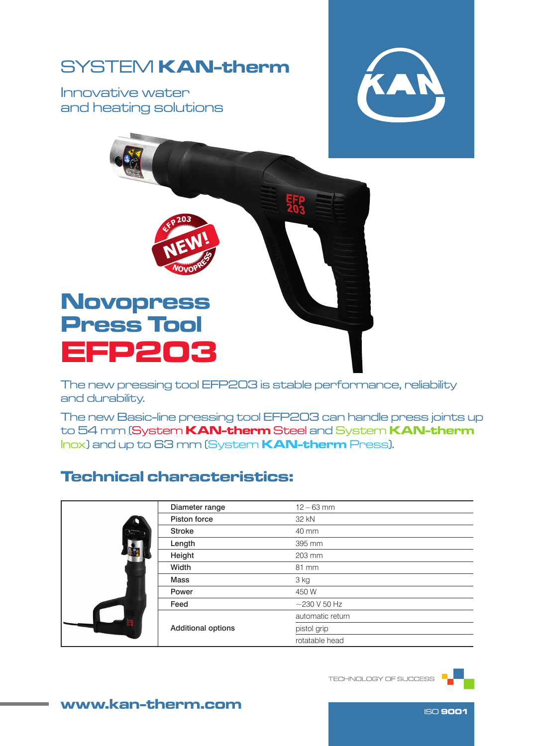## SYSTEM KAN-therm

Innovative water and heating solutions





The new pressing tool EFP203 is stable performance, reliability and durability.

The new Basic-line pressing tool EFP203 can handle press joints up to 54 mm (System KAN-therm Steel and System KAN-therm Inox) and up to 63 mm (System KAN-therm Press).

## Technical characteristics:

|   | Diameter range            | $12 - 63$ mm       |  |  |
|---|---------------------------|--------------------|--|--|
|   | Piston force              | 32 kN              |  |  |
|   | <b>Stroke</b>             | 40 mm              |  |  |
|   | Length                    | 395 mm             |  |  |
|   | Height                    | 203 mm             |  |  |
|   | Width                     | 81 mm              |  |  |
|   | <b>Mass</b>               | 3 kg               |  |  |
| 鹗 | Power                     | 450 W              |  |  |
|   | Feed                      | $\sim$ 230 V 50 Hz |  |  |
|   | <b>Additional options</b> | automatic return   |  |  |
|   |                           | pistol grip        |  |  |
|   |                           | rotatable head     |  |  |

TECHNOLOGY OF SUCCESS



www.kan-therm.com